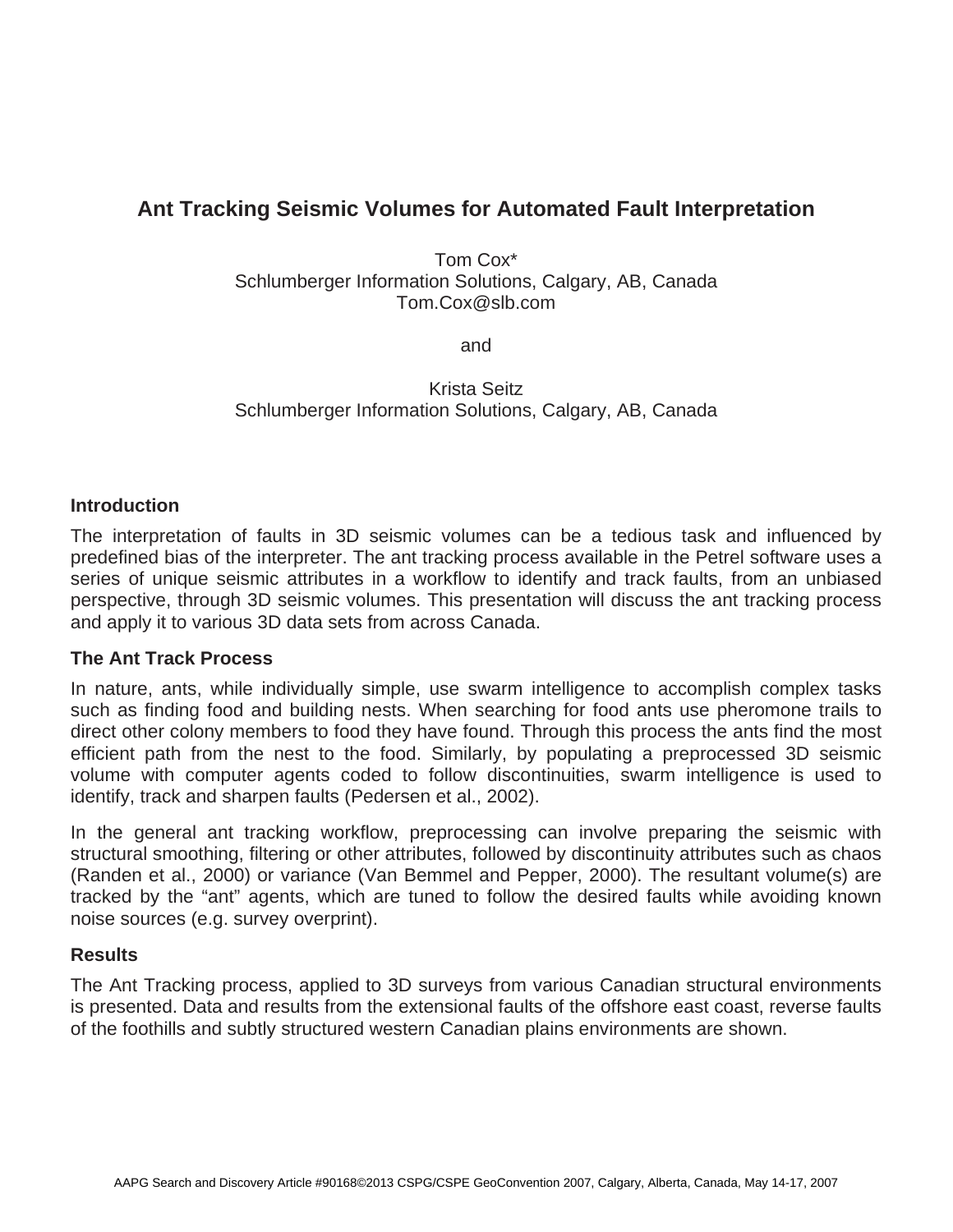# **Ant Tracking Seismic Volumes for Automated Fault Interpretation**

Tom Cox\* Schlumberger Information Solutions, Calgary, AB, Canada Tom.Cox@slb.com

and

Krista Seitz Schlumberger Information Solutions, Calgary, AB, Canada

#### **Introduction**

The interpretation of faults in 3D seismic volumes can be a tedious task and influenced by predefined bias of the interpreter. The ant tracking process available in the Petrel software uses a series of unique seismic attributes in a workflow to identify and track faults, from an unbiased perspective, through 3D seismic volumes. This presentation will discuss the ant tracking process and apply it to various 3D data sets from across Canada.

## **The Ant Track Process**

In nature, ants, while individually simple, use swarm intelligence to accomplish complex tasks such as finding food and building nests. When searching for food ants use pheromone trails to direct other colony members to food they have found. Through this process the ants find the most efficient path from the nest to the food. Similarly, by populating a preprocessed 3D seismic volume with computer agents coded to follow discontinuities, swarm intelligence is used to identify, track and sharpen faults (Pedersen et al., 2002).

In the general ant tracking workflow, preprocessing can involve preparing the seismic with structural smoothing, filtering or other attributes, followed by discontinuity attributes such as chaos (Randen et al., 2000) or variance (Van Bemmel and Pepper, 2000). The resultant volume(s) are tracked by the "ant" agents, which are tuned to follow the desired faults while avoiding known noise sources (e.g. survey overprint).

## **Results**

The Ant Tracking process, applied to 3D surveys from various Canadian structural environments is presented. Data and results from the extensional faults of the offshore east coast, reverse faults of the foothills and subtly structured western Canadian plains environments are shown.